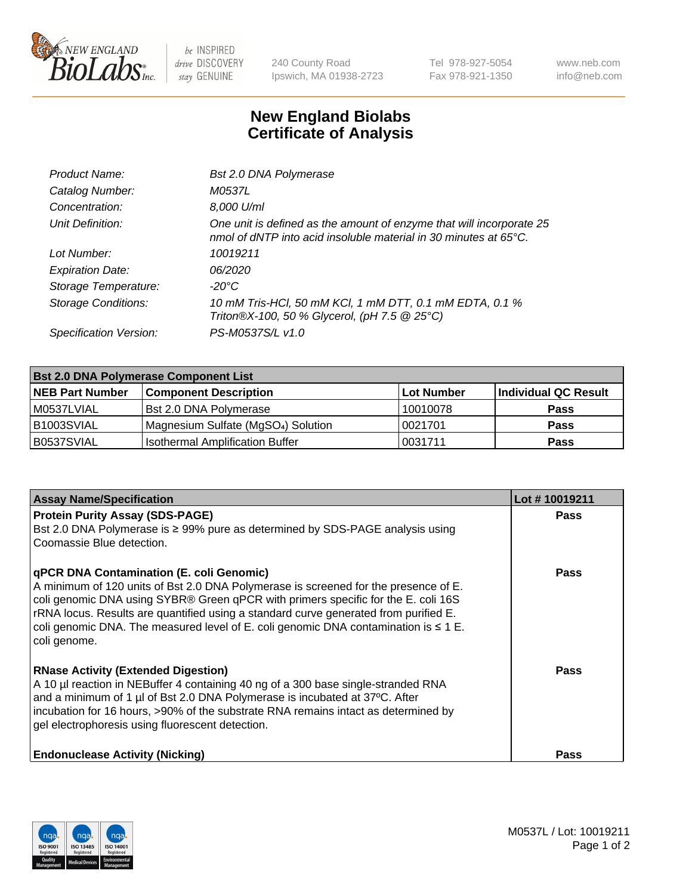

 $be$  INSPIRED drive DISCOVERY stay GENUINE

240 County Road Ipswich, MA 01938-2723 Tel 978-927-5054 Fax 978-921-1350 www.neb.com info@neb.com

## **New England Biolabs Certificate of Analysis**

| Product Name:              | <b>Bst 2.0 DNA Polymerase</b>                                                                                                            |
|----------------------------|------------------------------------------------------------------------------------------------------------------------------------------|
| Catalog Number:            | M0537L                                                                                                                                   |
| Concentration:             | 8,000 U/ml                                                                                                                               |
| Unit Definition:           | One unit is defined as the amount of enzyme that will incorporate 25<br>nmol of dNTP into acid insoluble material in 30 minutes at 65°C. |
| Lot Number:                | 10019211                                                                                                                                 |
| <b>Expiration Date:</b>    | 06/2020                                                                                                                                  |
| Storage Temperature:       | $-20^{\circ}$ C                                                                                                                          |
| <b>Storage Conditions:</b> | 10 mM Tris-HCl, 50 mM KCl, 1 mM DTT, 0.1 mM EDTA, 0.1 %<br>Triton®X-100, 50 % Glycerol, (pH 7.5 @ 25°C)                                  |
| Specification Version:     | PS-M0537S/L v1.0                                                                                                                         |

| <b>Bst 2.0 DNA Polymerase Component List</b> |                                                 |            |                      |  |  |
|----------------------------------------------|-------------------------------------------------|------------|----------------------|--|--|
| <b>NEB Part Number</b>                       | <b>Component Description</b>                    | Lot Number | Individual QC Result |  |  |
| l M0537LVIAL                                 | <b>Bst 2.0 DNA Polymerase</b>                   | 10010078   | <b>Pass</b>          |  |  |
| B1003SVIAL                                   | Magnesium Sulfate (MgSO <sub>4</sub> ) Solution | 10021701   | <b>Pass</b>          |  |  |
| B0537SVIAL                                   | <b>Isothermal Amplification Buffer</b>          | 0031711    | <b>Pass</b>          |  |  |

| <b>Assay Name/Specification</b>                                                                                                                                                                                                                                                                                                                                                                                                 | Lot #10019211 |
|---------------------------------------------------------------------------------------------------------------------------------------------------------------------------------------------------------------------------------------------------------------------------------------------------------------------------------------------------------------------------------------------------------------------------------|---------------|
| <b>Protein Purity Assay (SDS-PAGE)</b><br>Bst 2.0 DNA Polymerase is ≥ 99% pure as determined by SDS-PAGE analysis using<br>Coomassie Blue detection.                                                                                                                                                                                                                                                                            | <b>Pass</b>   |
| <b>qPCR DNA Contamination (E. coli Genomic)</b><br>A minimum of 120 units of Bst 2.0 DNA Polymerase is screened for the presence of E.<br>coli genomic DNA using SYBR® Green qPCR with primers specific for the E. coli 16S<br>rRNA locus. Results are quantified using a standard curve generated from purified E.<br>coli genomic DNA. The measured level of E. coli genomic DNA contamination is $\leq 1$ E.<br>coli genome. | Pass          |
| <b>RNase Activity (Extended Digestion)</b><br>A 10 µl reaction in NEBuffer 4 containing 40 ng of a 300 base single-stranded RNA<br>and a minimum of 1 µl of Bst 2.0 DNA Polymerase is incubated at 37°C. After<br>incubation for 16 hours, >90% of the substrate RNA remains intact as determined by<br>gel electrophoresis using fluorescent detection.                                                                        | Pass          |
| <b>Endonuclease Activity (Nicking)</b>                                                                                                                                                                                                                                                                                                                                                                                          | <b>Pass</b>   |